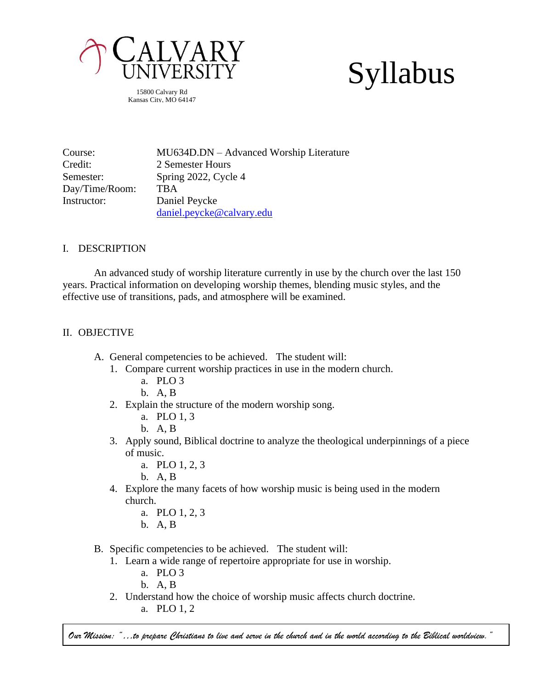

Syllabus

15800 Calvary Rd Kansas City, MO 64147

| Course:        | MU634D.DN – Advanced Worship Literature |
|----------------|-----------------------------------------|
| Credit:        | 2 Semester Hours                        |
| Semester:      | Spring 2022, Cycle 4                    |
| Day/Time/Room: | <b>TBA</b>                              |
| Instructor:    | Daniel Peycke                           |
|                | daniel.peycke@calvary.edu               |

# I. DESCRIPTION

An advanced study of worship literature currently in use by the church over the last 150 years. Practical information on developing worship themes, blending music styles, and the effective use of transitions, pads, and atmosphere will be examined.

## II. OBJECTIVE

- A. General competencies to be achieved. The student will:
	- 1. Compare current worship practices in use in the modern church.
		- a. PLO 3
		- b. A, B
	- 2. Explain the structure of the modern worship song.
		- a. PLO 1, 3
		- b. A, B
	- 3. Apply sound, Biblical doctrine to analyze the theological underpinnings of a piece of music.
		- a. PLO 1, 2, 3
		- b. A, B
	- 4. Explore the many facets of how worship music is being used in the modern church.
		- a. PLO 1, 2, 3
		- b. A, B
- B. Specific competencies to be achieved. The student will:
	- 1. Learn a wide range of repertoire appropriate for use in worship.
		- a. PLO 3
		- b. A, B
	- 2. Understand how the choice of worship music affects church doctrine.

a. PLO 1, 2

*Our Mission: "…to prepare Christians to live and serve in the church and in the world according to the Biblical worldview."*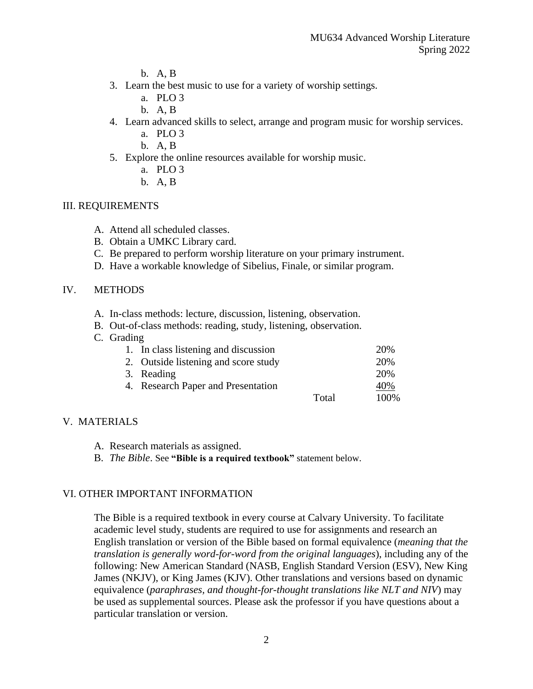- b. A, B
- 3. Learn the best music to use for a variety of worship settings.
	- a. PLO 3
	- b. A, B
- 4. Learn advanced skills to select, arrange and program music for worship services.
	- a. PLO 3
	- b. A, B
- 5. Explore the online resources available for worship music.
	- a. PLO 3
	- b. A, B

## III. REQUIREMENTS

- A. Attend all scheduled classes.
- B. Obtain a UMKC Library card.
- C. Be prepared to perform worship literature on your primary instrument.
- D. Have a workable knowledge of Sibelius, Finale, or similar program.

## IV. METHODS

- A. In-class methods: lecture, discussion, listening, observation.
- B. Out-of-class methods: reading, study, listening, observation.
- C. Grading

| 1. In class listening and discussion |       | 20%  |
|--------------------------------------|-------|------|
| 2. Outside listening and score study |       | 20%  |
| 3. Reading                           |       | 20%  |
| 4. Research Paper and Presentation   |       | 40%  |
|                                      | Total | 100% |

# V. MATERIALS

- A. Research materials as assigned.
- B. *The Bible*. See **"Bible is a required textbook"** statement below.

#### VI. OTHER IMPORTANT INFORMATION

The Bible is a required textbook in every course at Calvary University. To facilitate academic level study, students are required to use for assignments and research an English translation or version of the Bible based on formal equivalence (*meaning that the translation is generally word-for-word from the original languages*), including any of the following: New American Standard (NASB, English Standard Version (ESV), New King James (NKJV), or King James (KJV). Other translations and versions based on dynamic equivalence (*paraphrases, and thought-for-thought translations like NLT and NIV*) may be used as supplemental sources. Please ask the professor if you have questions about a particular translation or version.